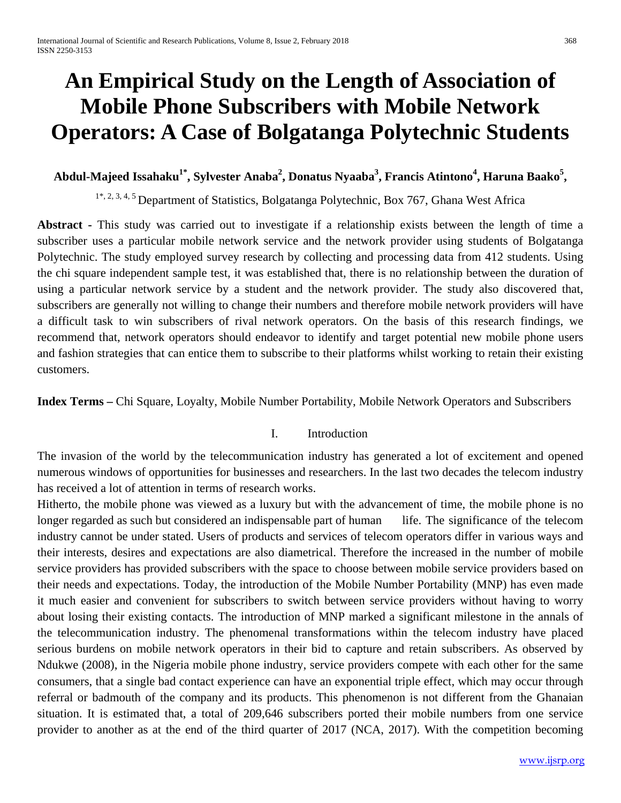# **An Empirical Study on the Length of Association of Mobile Phone Subscribers with Mobile Network Operators: A Case of Bolgatanga Polytechnic Students**

# Abdul-Majeed Issahaku<sup>1\*</sup>, Sylvester Anaba<sup>2</sup>, Donatus Nyaaba<sup>3</sup>, Francis Atintono<sup>4</sup>, Haruna Baako<sup>5</sup>,

1\*, 2, 3, 4, 5 Department of Statistics, Bolgatanga Polytechnic, Box 767, Ghana West Africa

**Abstract -** This study was carried out to investigate if a relationship exists between the length of time a subscriber uses a particular mobile network service and the network provider using students of Bolgatanga Polytechnic. The study employed survey research by collecting and processing data from 412 students. Using the chi square independent sample test, it was established that, there is no relationship between the duration of using a particular network service by a student and the network provider. The study also discovered that, subscribers are generally not willing to change their numbers and therefore mobile network providers will have a difficult task to win subscribers of rival network operators. On the basis of this research findings, we recommend that, network operators should endeavor to identify and target potential new mobile phone users and fashion strategies that can entice them to subscribe to their platforms whilst working to retain their existing customers.

**Index Terms –** Chi Square, Loyalty, Mobile Number Portability, Mobile Network Operators and Subscribers

## I. Introduction

The invasion of the world by the telecommunication industry has generated a lot of excitement and opened numerous windows of opportunities for businesses and researchers. In the last two decades the telecom industry has received a lot of attention in terms of research works.

Hitherto, the mobile phone was viewed as a luxury but with the advancement of time, the mobile phone is no longer regarded as such but considered an indispensable part of human life. The significance of the telecom industry cannot be under stated. Users of products and services of telecom operators differ in various ways and their interests, desires and expectations are also diametrical. Therefore the increased in the number of mobile service providers has provided subscribers with the space to choose between mobile service providers based on their needs and expectations. Today, the introduction of the Mobile Number Portability (MNP) has even made it much easier and convenient for subscribers to switch between service providers without having to worry about losing their existing contacts. The introduction of MNP marked a significant milestone in the annals of the telecommunication industry. The phenomenal transformations within the telecom industry have placed serious burdens on mobile network operators in their bid to capture and retain subscribers. As observed by Ndukwe (2008), in the Nigeria mobile phone industry, service providers compete with each other for the same consumers, that a single bad contact experience can have an exponential triple effect, which may occur through referral or badmouth of the company and its products. This phenomenon is not different from the Ghanaian situation. It is estimated that, a total of 209,646 subscribers ported their mobile numbers from one service provider to another as at the end of the third quarter of 2017 (NCA, 2017). With the competition becoming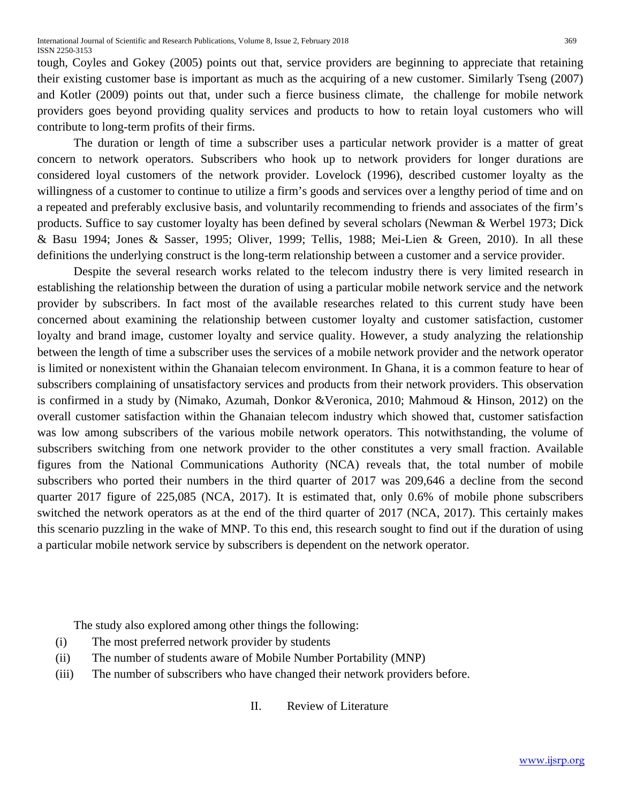tough, Coyles and Gokey (2005) points out that, service providers are beginning to appreciate that retaining their existing customer base is important as much as the acquiring of a new customer. Similarly Tseng (2007) and Kotler (2009) points out that, under such a fierce business climate, the challenge for mobile network providers goes beyond providing quality services and products to how to retain loyal customers who will contribute to long-term profits of their firms.

The duration or length of time a subscriber uses a particular network provider is a matter of great concern to network operators. Subscribers who hook up to network providers for longer durations are considered loyal customers of the network provider. Lovelock (1996), described customer loyalty as the willingness of a customer to continue to utilize a firm's goods and services over a lengthy period of time and on a repeated and preferably exclusive basis, and voluntarily recommending to friends and associates of the firm's products. Suffice to say customer loyalty has been defined by several scholars (Newman & Werbel 1973; Dick & Basu 1994; Jones & Sasser, 1995; Oliver, 1999; Tellis, 1988; Mei-Lien & Green, 2010). In all these definitions the underlying construct is the long-term relationship between a customer and a service provider.

Despite the several research works related to the telecom industry there is very limited research in establishing the relationship between the duration of using a particular mobile network service and the network provider by subscribers. In fact most of the available researches related to this current study have been concerned about examining the relationship between customer loyalty and customer satisfaction, customer loyalty and brand image, customer loyalty and service quality. However, a study analyzing the relationship between the length of time a subscriber uses the services of a mobile network provider and the network operator is limited or nonexistent within the Ghanaian telecom environment. In Ghana, it is a common feature to hear of subscribers complaining of unsatisfactory services and products from their network providers. This observation is confirmed in a study by (Nimako, Azumah, Donkor &Veronica, 2010; Mahmoud & Hinson, 2012) on the overall customer satisfaction within the Ghanaian telecom industry which showed that, customer satisfaction was low among subscribers of the various mobile network operators. This notwithstanding, the volume of subscribers switching from one network provider to the other constitutes a very small fraction. Available figures from the National Communications Authority (NCA) reveals that, the total number of mobile subscribers who ported their numbers in the third quarter of 2017 was 209,646 a decline from the second quarter 2017 figure of 225,085 (NCA, 2017). It is estimated that, only 0.6% of mobile phone subscribers switched the network operators as at the end of the third quarter of 2017 (NCA, 2017). This certainly makes this scenario puzzling in the wake of MNP. To this end, this research sought to find out if the duration of using a particular mobile network service by subscribers is dependent on the network operator.

The study also explored among other things the following:

- (i) The most preferred network provider by students
- (ii) The number of students aware of Mobile Number Portability (MNP)
- (iii) The number of subscribers who have changed their network providers before.

II. Review of Literature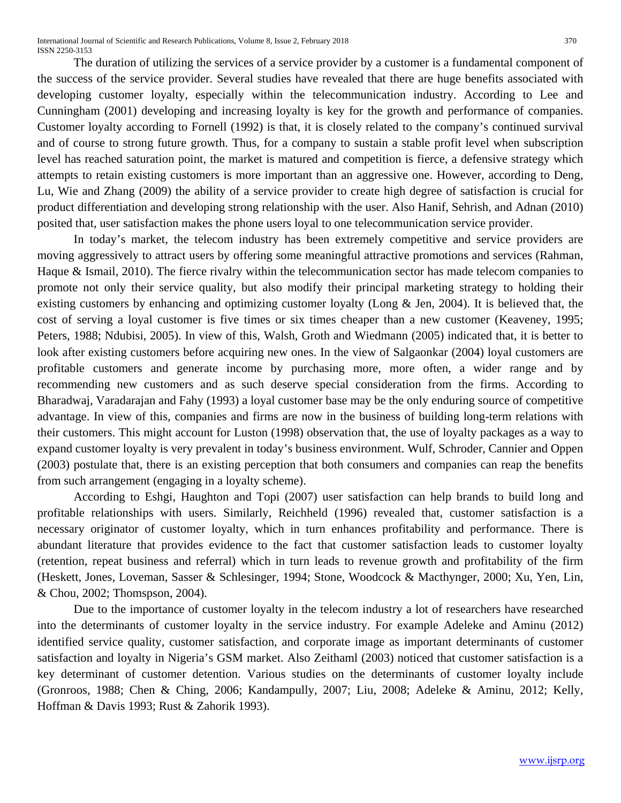The duration of utilizing the services of a service provider by a customer is a fundamental component of the success of the service provider. Several studies have revealed that there are huge benefits associated with developing customer loyalty, especially within the telecommunication industry. According to Lee and Cunningham (2001) developing and increasing loyalty is key for the growth and performance of companies. Customer loyalty according to Fornell (1992) is that, it is closely related to the company's continued survival and of course to strong future growth. Thus, for a company to sustain a stable profit level when subscription level has reached saturation point, the market is matured and competition is fierce, a defensive strategy which attempts to retain existing customers is more important than an aggressive one. However, according to Deng, Lu, Wie and Zhang (2009) the ability of a service provider to create high degree of satisfaction is crucial for product differentiation and developing strong relationship with the user. Also Hanif, Sehrish, and Adnan (2010) posited that, user satisfaction makes the phone users loyal to one telecommunication service provider.

In today's market, the telecom industry has been extremely competitive and service providers are moving aggressively to attract users by offering some meaningful attractive promotions and services (Rahman, Haque & Ismail, 2010). The fierce rivalry within the telecommunication sector has made telecom companies to promote not only their service quality, but also modify their principal marketing strategy to holding their existing customers by enhancing and optimizing customer loyalty (Long & Jen, 2004). It is believed that, the cost of serving a loyal customer is five times or six times cheaper than a new customer (Keaveney, 1995; Peters, 1988; Ndubisi, 2005). In view of this, Walsh, Groth and Wiedmann (2005) indicated that, it is better to look after existing customers before acquiring new ones. In the view of Salgaonkar (2004) loyal customers are profitable customers and generate income by purchasing more, more often, a wider range and by recommending new customers and as such deserve special consideration from the firms. According to Bharadwaj, Varadarajan and Fahy (1993) a loyal customer base may be the only enduring source of competitive advantage. In view of this, companies and firms are now in the business of building long-term relations with their customers. This might account for Luston (1998) observation that, the use of loyalty packages as a way to expand customer loyalty is very prevalent in today's business environment. Wulf, Schroder, Cannier and Oppen (2003) postulate that, there is an existing perception that both consumers and companies can reap the benefits from such arrangement (engaging in a loyalty scheme).

According to Eshgi, Haughton and Topi (2007) user satisfaction can help brands to build long and profitable relationships with users. Similarly, Reichheld (1996) revealed that, customer satisfaction is a necessary originator of customer loyalty, which in turn enhances profitability and performance. There is abundant literature that provides evidence to the fact that customer satisfaction leads to customer loyalty (retention, repeat business and referral) which in turn leads to revenue growth and profitability of the firm (Heskett, Jones, Loveman, Sasser & Schlesinger, 1994; Stone, Woodcock & Macthynger, 2000; Xu, Yen, Lin, & Chou, 2002; Thomspson, 2004).

Due to the importance of customer loyalty in the telecom industry a lot of researchers have researched into the determinants of customer loyalty in the service industry. For example Adeleke and Aminu (2012) identified service quality, customer satisfaction, and corporate image as important determinants of customer satisfaction and loyalty in Nigeria's GSM market. Also Zeithaml (2003) noticed that customer satisfaction is a key determinant of customer detention. Various studies on the determinants of customer loyalty include (Gronroos, 1988; Chen & Ching, 2006; Kandampully, 2007; Liu, 2008; Adeleke & Aminu, 2012; Kelly, Hoffman & Davis 1993; Rust & Zahorik 1993).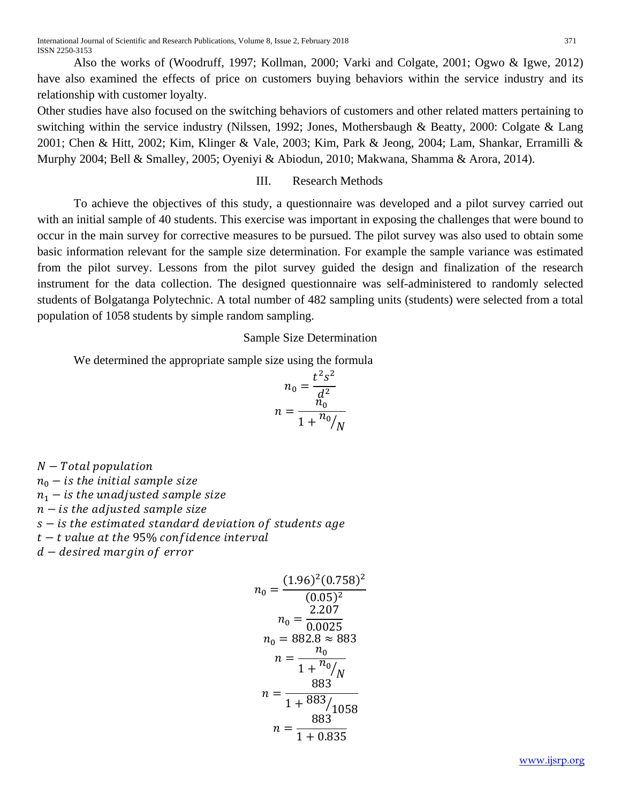Also the works of (Woodruff, 1997; Kollman, 2000; Varki and Colgate, 2001; Ogwo & Igwe, 2012) have also examined the effects of price on customers buying behaviors within the service industry and its relationship with customer loyalty.

Other studies have also focused on the switching behaviors of customers and other related matters pertaining to switching within the service industry (Nilssen, 1992; Jones, Mothersbaugh & Beatty, 2000: Colgate & Lang 2001; Chen & Hitt, 2002; Kim, Klinger & Vale, 2003; Kim, Park & Jeong, 2004; Lam, Shankar, Erramilli & Murphy 2004; Bell & Smalley, 2005; Oyeniyi & Abiodun, 2010; Makwana, Shamma & Arora, 2014).

#### III. Research Methods

To achieve the objectives of this study, a questionnaire was developed and a pilot survey carried out with an initial sample of 40 students. This exercise was important in exposing the challenges that were bound to occur in the main survey for corrective measures to be pursued. The pilot survey was also used to obtain some basic information relevant for the sample size determination. For example the sample variance was estimated from the pilot survey. Lessons from the pilot survey guided the design and finalization of the research instrument for the data collection. The designed questionnaire was self-administered to randomly selected students of Bolgatanga Polytechnic. A total number of 482 sampling units (students) were selected from a total population of 1058 students by simple random sampling.

#### Sample Size Determination

We determined the appropriate sample size using the formula

$$
n_0 = \frac{t^2 s^2}{\frac{d^2}{n_0}}
$$

$$
n = \frac{n_0}{1 + \frac{n_0}{N}}
$$

 $N-Total$  population

$$
n_0-is\ the\ initial\ sample\ size
$$

 $n_1$  – is the unadjusted sample size

 $n$  – is the adjusted sample size

s – is the estimated standard deviation of students age

- $t-t$  value at the 95% confidence interval
- d desired margin of error

$$
n_0 = \frac{(1.96)^2 (0.758)^2}{(0.05)^2}
$$
  
\n
$$
n_0 = \frac{2.207}{0.0025}
$$
  
\n
$$
n_0 = 882.8 \approx 883
$$
  
\n
$$
n = \frac{n_0}{1 + \frac{n_0}{N}}
$$
  
\n
$$
n = \frac{883}{1 + \frac{883}{1058}}
$$
  
\n
$$
n = \frac{883}{1 + 0.835}
$$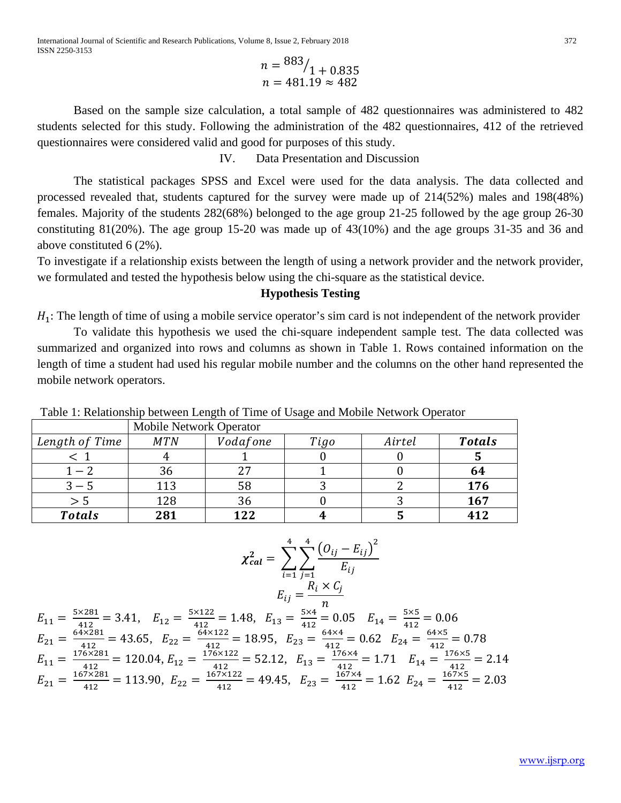$$
n = \frac{883}{1 + 0.835}
$$
  

$$
n = 481.19 \approx 482
$$

Based on the sample size calculation, a total sample of 482 questionnaires was administered to 482 students selected for this study. Following the administration of the 482 questionnaires, 412 of the retrieved questionnaires were considered valid and good for purposes of this study.

IV. Data Presentation and Discussion

The statistical packages SPSS and Excel were used for the data analysis. The data collected and processed revealed that, students captured for the survey were made up of 214(52%) males and 198(48%) females. Majority of the students 282(68%) belonged to the age group 21-25 followed by the age group 26-30 constituting 81(20%). The age group 15-20 was made up of 43(10%) and the age groups 31-35 and 36 and above constituted 6 (2%).

To investigate if a relationship exists between the length of using a network provider and the network provider, we formulated and tested the hypothesis below using the chi-square as the statistical device.

## **Hypothesis Testing**

 $H_1$ : The length of time of using a mobile service operator's sim card is not independent of the network provider

To validate this hypothesis we used the chi-square independent sample test. The data collected was summarized and organized into rows and columns as shown in Table 1. Rows contained information on the length of time a student had used his regular mobile number and the columns on the other hand represented the mobile network operators.

|                | <b>Mobile Network Operator</b> |          |      |        |               |  |  |
|----------------|--------------------------------|----------|------|--------|---------------|--|--|
| Length of Time | <b>MTN</b>                     | Vodafone | Tigo | Airtel | <b>Totals</b> |  |  |
|                |                                |          |      |        |               |  |  |
|                | 36                             | 27       |      |        | 64            |  |  |
|                | 113                            | 58       |      |        | 176           |  |  |
|                | 128                            | 36       |      |        | 167           |  |  |
| <b>Totals</b>  | 281                            | 122      |      |        | 412           |  |  |

Table 1: Relationship between Length of Time of Usage and Mobile Network Operator

$$
\chi_{cal}^{2} = \sum_{i=1}^{4} \sum_{j=1}^{4} \frac{(O_{ij} - E_{ij})^{2}}{E_{ij}}
$$

$$
E_{ij} = \frac{R_{i} \times C_{j}}{n}
$$

$$
E_{11} = \frac{5 \times 281}{412} = 3.41, \quad E_{12} = \frac{5 \times 122}{412} = 1.48, \quad E_{13} = \frac{5 \times 4}{412} = 0.05, \quad E_{14} = \frac{5 \times 5}{412} = 0.06
$$
\n
$$
E_{21} = \frac{64 \times 281}{412} = 43.65, \quad E_{22} = \frac{64 \times 122}{412} = 18.95, \quad E_{23} = \frac{64 \times 4}{412} = 0.62, \quad E_{24} = \frac{64 \times 5}{412} = 0.78
$$
\n
$$
E_{11} = \frac{176 \times 281}{412} = 120.04, \quad E_{12} = \frac{176 \times 122}{412} = 52.12, \quad E_{13} = \frac{176 \times 4}{412} = 1.71, \quad E_{14} = \frac{176 \times 5}{412} = 2.14
$$
\n
$$
E_{21} = \frac{167 \times 281}{412} = 113.90, \quad E_{22} = \frac{167 \times 122}{412} = 49.45, \quad E_{23} = \frac{167 \times 4}{412} = 1.62, \quad E_{24} = \frac{167 \times 5}{412} = 2.03
$$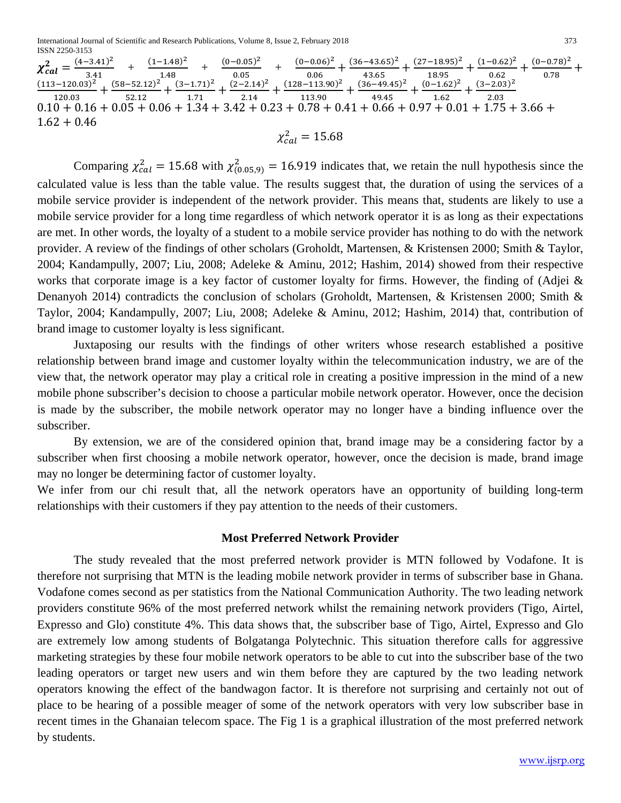$$
\chi_{cal}^{2}=\frac{(4-3.41)^{2}}{3.41}+\frac{(1-1.48)^{2}}{1.48}+\frac{(0-0.05)^{2}}{0.05}+\frac{(0-0.06)^{2}}{0.06}+\frac{(36-43.65)^{2}}{43.65}+\frac{(27-18.95)^{2}}{18.95}+\frac{(1-0.62)^{2}}{0.78}+\frac{(0-0.78)^{2}}{0.78}+\frac{(113-120.03)^{2}}{120.03}+\frac{(58-52.12)^{2}}{52.12}+\frac{(3-1.71)^{2}}{1.71}+\frac{(2-2.14)^{2}}{2.14}+\frac{(128-113.90)^{2}}{113.90}+\frac{(36-49.45)^{2}}{49.45}+\frac{(0-1.62)^{2}}{1.62}+\frac{(3-2.03)^{2}}{2.03}+\frac{(3-2.03)^{2}}{1.62}+\frac{(3-2.03)^{2}}{1.62}+\frac{(3-2.03)^{2}}{1.62}+\frac{(3-2.03)^{2}}{1.62}+\frac{(3-2.03)^{2}}{1.62}+\frac{(3-2.03)^{2}}{1.62}+\frac{(3-2.03)^{2}}{1.62}+\frac{(3-2.03)^{2}}{1.62}+\frac{(3-2.03)^{2}}{1.62}+\frac{(3-2.03)^{2}}{1.62}+\frac{(3-2.03)^{2}}{1.62}+\frac{(3-2.03)^{2}}{1.62}+\frac{(3-2.03)^{2}}{1.62}+\frac{(3-2.03)^{2}}{1.62}+\frac{(3-2.03)^{2}}{1.62}+\frac{(3-2.03)^{2}}{1.62}+\frac{(3-2.03)^{2}}{1.62}+\frac{(3-2.03)^{2}}{1.62}+\frac{(3-2.03)^{2}}{1.62}+\frac{(3-2.03)^{2}}{1.62}+\frac{(3-2.03)^{2}}{1.62}+\frac{(3-2.03)^{2}}{1.62}+\frac{(3-2
$$

$$
\chi^2_{cal} = 15.68
$$

Comparing  $\chi_{cal}^2 = 15.68$  with  $\chi_{(0.05,9)}^2 = 16.919$  indicates that, we retain the null hypothesis since the calculated value is less than the table value. The results suggest that, the duration of using the services of a mobile service provider is independent of the network provider. This means that, students are likely to use a mobile service provider for a long time regardless of which network operator it is as long as their expectations are met. In other words, the loyalty of a student to a mobile service provider has nothing to do with the network provider. A review of the findings of other scholars (Groholdt, Martensen, & Kristensen 2000; Smith & Taylor, 2004; Kandampully, 2007; Liu, 2008; Adeleke & Aminu, 2012; Hashim, 2014) showed from their respective works that corporate image is a key factor of customer loyalty for firms. However, the finding of (Adjei & Denanyoh 2014) contradicts the conclusion of scholars (Groholdt, Martensen, & Kristensen 2000; Smith & Taylor, 2004; Kandampully, 2007; Liu, 2008; Adeleke & Aminu, 2012; Hashim, 2014) that, contribution of brand image to customer loyalty is less significant.

Juxtaposing our results with the findings of other writers whose research established a positive relationship between brand image and customer loyalty within the telecommunication industry, we are of the view that, the network operator may play a critical role in creating a positive impression in the mind of a new mobile phone subscriber's decision to choose a particular mobile network operator. However, once the decision is made by the subscriber, the mobile network operator may no longer have a binding influence over the subscriber.

By extension, we are of the considered opinion that, brand image may be a considering factor by a subscriber when first choosing a mobile network operator, however, once the decision is made, brand image may no longer be determining factor of customer loyalty.

We infer from our chi result that, all the network operators have an opportunity of building long-term relationships with their customers if they pay attention to the needs of their customers.

#### **Most Preferred Network Provider**

The study revealed that the most preferred network provider is MTN followed by Vodafone. It is therefore not surprising that MTN is the leading mobile network provider in terms of subscriber base in Ghana. Vodafone comes second as per statistics from the National Communication Authority. The two leading network providers constitute 96% of the most preferred network whilst the remaining network providers (Tigo, Airtel, Expresso and Glo) constitute 4%. This data shows that, the subscriber base of Tigo, Airtel, Expresso and Glo are extremely low among students of Bolgatanga Polytechnic. This situation therefore calls for aggressive marketing strategies by these four mobile network operators to be able to cut into the subscriber base of the two leading operators or target new users and win them before they are captured by the two leading network operators knowing the effect of the bandwagon factor. It is therefore not surprising and certainly not out of place to be hearing of a possible meager of some of the network operators with very low subscriber base in recent times in the Ghanaian telecom space. The Fig 1 is a graphical illustration of the most preferred network by students.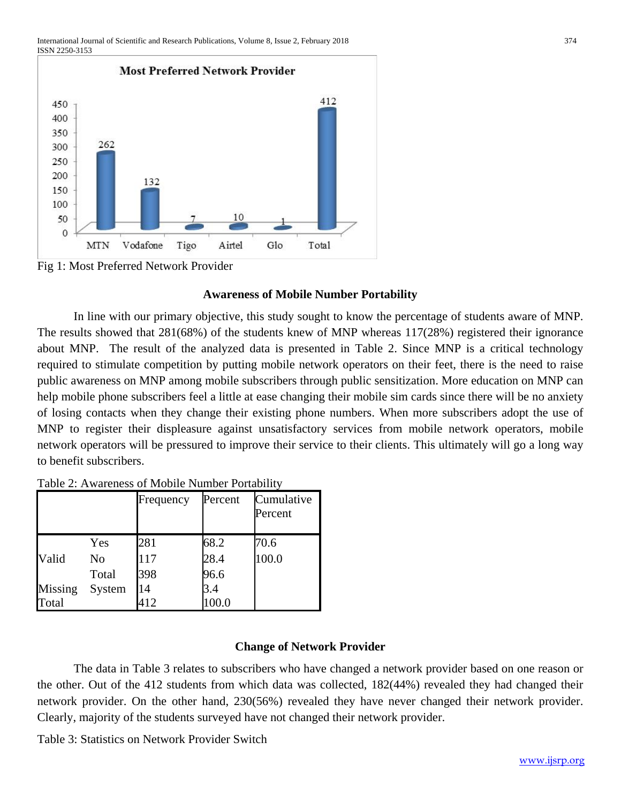International Journal of Scientific and Research Publications, Volume 8, Issue 2, February 2018 374 ISSN 2250-3153



Fig 1: Most Preferred Network Provider

#### **Awareness of Mobile Number Portability**

In line with our primary objective, this study sought to know the percentage of students aware of MNP. The results showed that 281(68%) of the students knew of MNP whereas 117(28%) registered their ignorance about MNP. The result of the analyzed data is presented in Table 2. Since MNP is a critical technology required to stimulate competition by putting mobile network operators on their feet, there is the need to raise public awareness on MNP among mobile subscribers through public sensitization. More education on MNP can help mobile phone subscribers feel a little at ease changing their mobile sim cards since there will be no anxiety of losing contacts when they change their existing phone numbers. When more subscribers adopt the use of MNP to register their displeasure against unsatisfactory services from mobile network operators, mobile network operators will be pressured to improve their service to their clients. This ultimately will go a long way to benefit subscribers.

|         |        | Frequency | Percent | Cumulative<br>Percent |
|---------|--------|-----------|---------|-----------------------|
|         | Yes    | 281       | 68.2    | 70.6                  |
| Valid   | No     | 117       | 28.4    | 100.0                 |
|         | Total  | 398       | 96.6    |                       |
| Missing | System | 14        | 3.4     |                       |
| Total   |        | 412       | 100.0   |                       |

Table 2: Awareness of Mobile Number Portability

#### **Change of Network Provider**

The data in Table 3 relates to subscribers who have changed a network provider based on one reason or the other. Out of the 412 students from which data was collected, 182(44%) revealed they had changed their network provider. On the other hand, 230(56%) revealed they have never changed their network provider. Clearly, majority of the students surveyed have not changed their network provider.

Table 3: Statistics on Network Provider Switch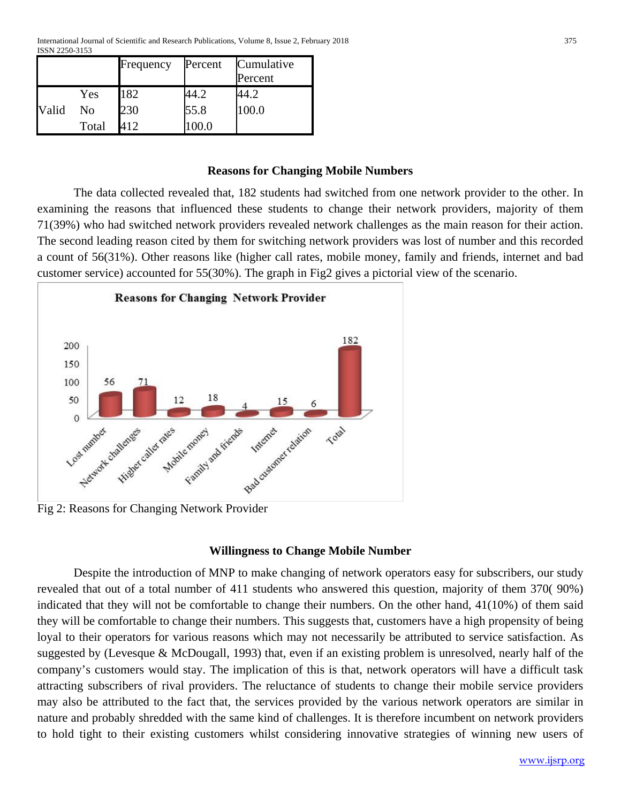|       |       | Frequency | Percent | Cumulative<br>Percent |
|-------|-------|-----------|---------|-----------------------|
|       |       |           |         |                       |
|       | Yes   | 182       | 44.2    | 44.2                  |
| Valid | No    | 230       | 55.8    | 100.0                 |
|       | Total | 12        | (0.00)  |                       |

### **Reasons for Changing Mobile Numbers**

The data collected revealed that, 182 students had switched from one network provider to the other. In examining the reasons that influenced these students to change their network providers, majority of them 71(39%) who had switched network providers revealed network challenges as the main reason for their action. The second leading reason cited by them for switching network providers was lost of number and this recorded a count of 56(31%). Other reasons like (higher call rates, mobile money, family and friends, internet and bad customer service) accounted for 55(30%). The graph in Fig2 gives a pictorial view of the scenario.



Fig 2: Reasons for Changing Network Provider

## **Willingness to Change Mobile Number**

Despite the introduction of MNP to make changing of network operators easy for subscribers, our study revealed that out of a total number of 411 students who answered this question, majority of them 370( 90%) indicated that they will not be comfortable to change their numbers. On the other hand, 41(10%) of them said they will be comfortable to change their numbers. This suggests that, customers have a high propensity of being loyal to their operators for various reasons which may not necessarily be attributed to service satisfaction. As suggested by (Levesque & McDougall, 1993) that, even if an existing problem is unresolved, nearly half of the company's customers would stay. The implication of this is that, network operators will have a difficult task attracting subscribers of rival providers. The reluctance of students to change their mobile service providers may also be attributed to the fact that, the services provided by the various network operators are similar in nature and probably shredded with the same kind of challenges. It is therefore incumbent on network providers to hold tight to their existing customers whilst considering innovative strategies of winning new users of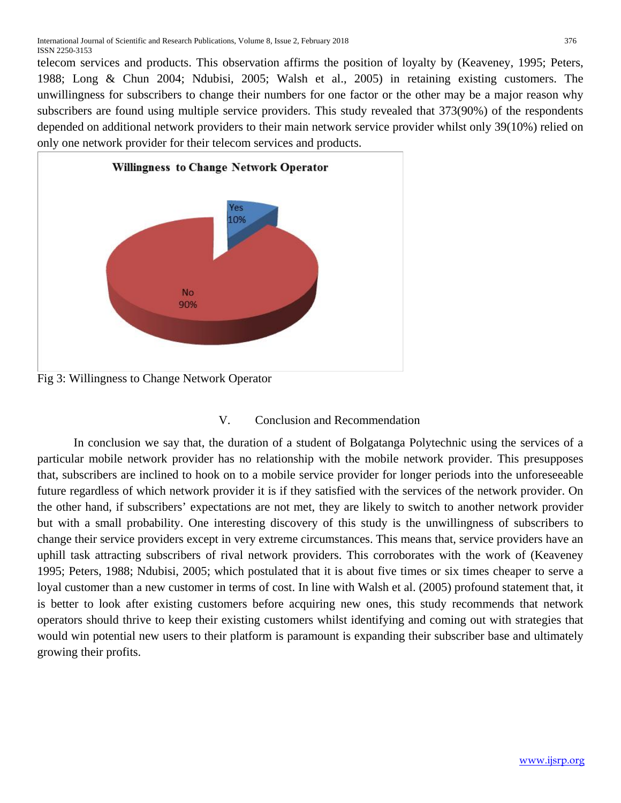telecom services and products. This observation affirms the position of loyalty by (Keaveney, 1995; Peters, 1988; Long & Chun 2004; Ndubisi, 2005; Walsh et al., 2005) in retaining existing customers. The unwillingness for subscribers to change their numbers for one factor or the other may be a major reason why subscribers are found using multiple service providers. This study revealed that 373(90%) of the respondents depended on additional network providers to their main network service provider whilst only 39(10%) relied on only one network provider for their telecom services and products.



Fig 3: Willingness to Change Network Operator

# V. Conclusion and Recommendation

In conclusion we say that, the duration of a student of Bolgatanga Polytechnic using the services of a particular mobile network provider has no relationship with the mobile network provider. This presupposes that, subscribers are inclined to hook on to a mobile service provider for longer periods into the unforeseeable future regardless of which network provider it is if they satisfied with the services of the network provider. On the other hand, if subscribers' expectations are not met, they are likely to switch to another network provider but with a small probability. One interesting discovery of this study is the unwillingness of subscribers to change their service providers except in very extreme circumstances. This means that, service providers have an uphill task attracting subscribers of rival network providers. This corroborates with the work of (Keaveney 1995; Peters, 1988; Ndubisi, 2005; which postulated that it is about five times or six times cheaper to serve a loyal customer than a new customer in terms of cost. In line with Walsh et al. (2005) profound statement that, it is better to look after existing customers before acquiring new ones, this study recommends that network operators should thrive to keep their existing customers whilst identifying and coming out with strategies that would win potential new users to their platform is paramount is expanding their subscriber base and ultimately growing their profits.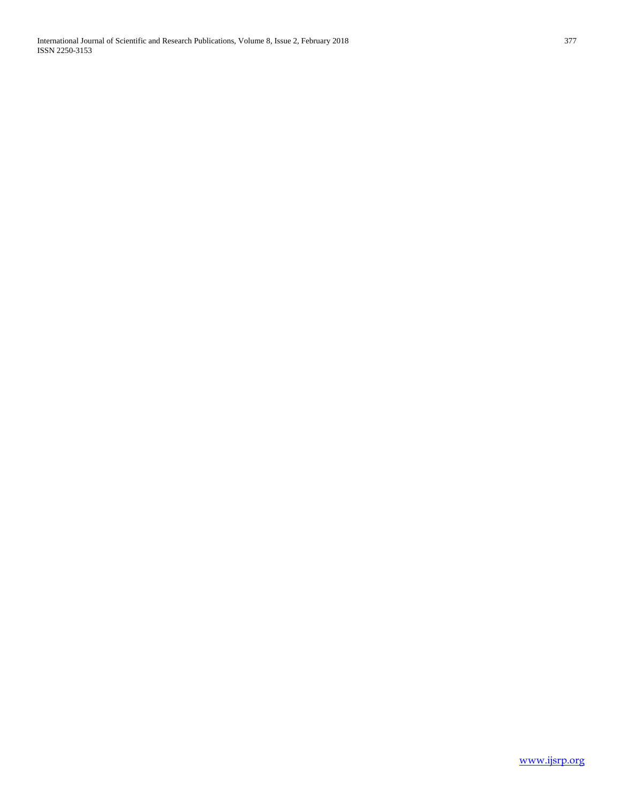International Journal of Scientific and Research Publications, Volume 8, Issue 2, February 2018 377 ISSN 2250-3153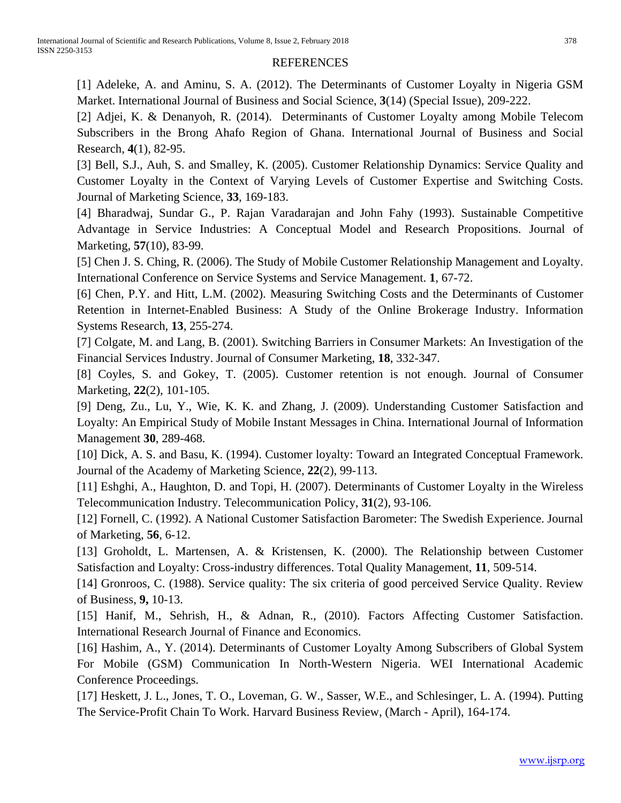#### REFERENCES

[1] Adeleke, A. and Aminu, S. A. (2012). The Determinants of Customer Loyalty in Nigeria GSM Market. International Journal of Business and Social Science, **3**(14) (Special Issue), 209-222.

[2] Adjei, K. & Denanyoh, R. (2014). Determinants of Customer Loyalty among Mobile Telecom Subscribers in the Brong Ahafo Region of Ghana. International Journal of Business and Social Research, **4**(1), 82-95.

[3] Bell, S.J., Auh, S. and Smalley, K. (2005). Customer Relationship Dynamics: Service Quality and Customer Loyalty in the Context of Varying Levels of Customer Expertise and Switching Costs. Journal of Marketing Science, **33**, 169-183.

[4] Bharadwaj, Sundar G., P. Rajan Varadarajan and John Fahy (1993). Sustainable Competitive Advantage in Service Industries: A Conceptual Model and Research Propositions. Journal of Marketing, **57**(10), 83-99.

[5] Chen J. S. Ching, R. (2006). The Study of Mobile Customer Relationship Management and Loyalty. International Conference on Service Systems and Service Management. **1**, 67-72.

[6] Chen, P.Y. and Hitt, L.M. (2002). Measuring Switching Costs and the Determinants of Customer Retention in Internet-Enabled Business: A Study of the Online Brokerage Industry. Information Systems Research, **13**, 255-274.

[7] Colgate, M. and Lang, B. (2001). Switching Barriers in Consumer Markets: An Investigation of the Financial Services Industry. Journal of Consumer Marketing, **18**, 332-347.

[8] Coyles, S. and Gokey, T. (2005). Customer retention is not enough. Journal of Consumer Marketing, **22**(2), 101-105.

[9] Deng, Zu., Lu, Y., Wie, K. K. and Zhang, J. (2009). Understanding Customer Satisfaction and Loyalty: An Empirical Study of Mobile Instant Messages in China. International Journal of Information Management **30**, 289-468.

[10] Dick, A. S. and Basu, K. (1994). Customer loyalty: Toward an Integrated Conceptual Framework. Journal of the Academy of Marketing Science, **22**(2), 99-113.

[11] Eshghi, A., Haughton, D. and Topi, H. (2007). Determinants of Customer Loyalty in the Wireless Telecommunication Industry. Telecommunication Policy, **31**(2), 93-106.

[12] Fornell, C. (1992). A National Customer Satisfaction Barometer: The Swedish Experience. Journal of Marketing, **56**, 6-12.

[13] Groholdt, L. Martensen, A. & Kristensen, K. (2000). The Relationship between Customer Satisfaction and Loyalty: Cross-industry differences. Total Quality Management, **11**, 509-514.

[14] Gronroos, C. (1988). Service quality: The six criteria of good perceived Service Quality. Review of Business, **9,** 10-13.

[15] Hanif, M., Sehrish, H., & Adnan, R., (2010). Factors Affecting Customer Satisfaction. International Research Journal of Finance and Economics.

[16] Hashim, A., Y. (2014). Determinants of Customer Loyalty Among Subscribers of Global System For Mobile (GSM) Communication In North-Western Nigeria. WEI International Academic Conference Proceedings.

[17] Heskett, J. L., Jones, T. O., Loveman, G. W., Sasser, W.E., and Schlesinger, L. A. (1994). Putting The Service-Profit Chain To Work. Harvard Business Review, (March - April), 164-174.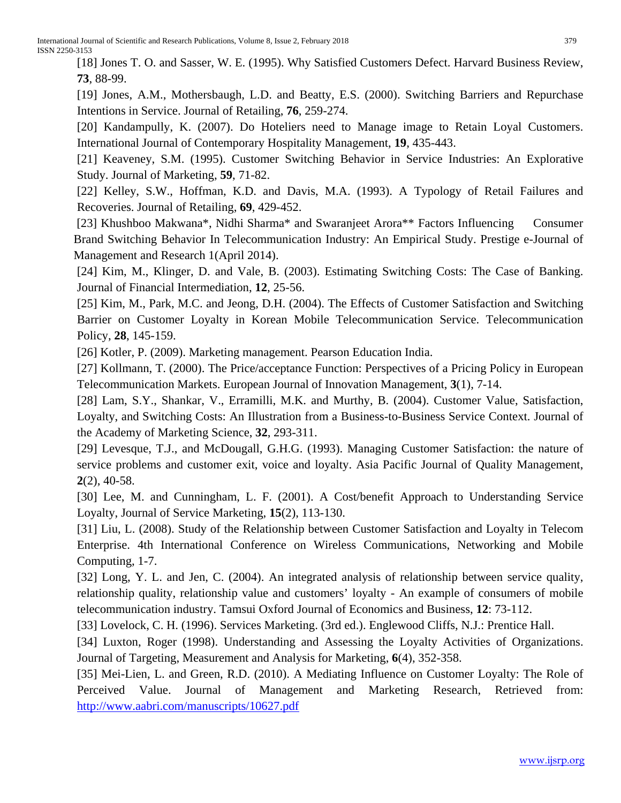[18] Jones T. O. and Sasser, W. E. (1995). Why Satisfied Customers Defect. Harvard Business Review, **73**, 88-99.

[19] Jones, A.M., Mothersbaugh, L.D. and Beatty, E.S. (2000). Switching Barriers and Repurchase Intentions in Service. Journal of Retailing, **76**, 259-274.

[20] Kandampully, K. (2007). Do Hoteliers need to Manage image to Retain Loyal Customers. International Journal of Contemporary Hospitality Management, **19**, 435-443.

[21] Keaveney, S.M. (1995). Customer Switching Behavior in Service Industries: An Explorative Study. Journal of Marketing, **59**, 71-82.

[22] Kelley, S.W., Hoffman, K.D. and Davis, M.A. (1993). A Typology of Retail Failures and Recoveries. Journal of Retailing, **69**, 429-452.

[23] Khushboo Makwana\*, Nidhi Sharma\* and Swaranjeet Arora\*\* Factors Influencing Consumer Brand Switching Behavior In Telecommunication Industry: An Empirical Study. Prestige e-Journal of Management and Research 1(April 2014).

[24] Kim, M., Klinger, D. and Vale, B. (2003). Estimating Switching Costs: The Case of Banking. Journal of Financial Intermediation, **12**, 25-56.

[25] Kim, M., Park, M.C. and Jeong, D.H. (2004). The Effects of Customer Satisfaction and Switching Barrier on Customer Loyalty in Korean Mobile Telecommunication Service. Telecommunication Policy, **28**, 145-159.

[26] Kotler, P. (2009). Marketing management. Pearson Education India.

[27] Kollmann, T. (2000). The Price/acceptance Function: Perspectives of a Pricing Policy in European Telecommunication Markets. European Journal of Innovation Management, **3**(1), 7-14.

[28] Lam, S.Y., Shankar, V., Erramilli, M.K. and Murthy, B. (2004). Customer Value, Satisfaction, Loyalty, and Switching Costs: An Illustration from a Business-to-Business Service Context. Journal of the Academy of Marketing Science, **32**, 293-311.

[29] Levesque, T.J., and McDougall, G.H.G. (1993). Managing Customer Satisfaction: the nature of service problems and customer exit, voice and loyalty. Asia Pacific Journal of Quality Management, **2**(2), 40-58.

[30] Lee, M. and Cunningham, L. F. (2001). A Cost/benefit Approach to Understanding Service Loyalty, Journal of Service Marketing, **15**(2), 113-130.

[31] Liu, L. (2008). Study of the Relationship between Customer Satisfaction and Loyalty in Telecom Enterprise. 4th International Conference on Wireless Communications, Networking and Mobile Computing, 1-7.

[32] Long, Y. L. and Jen, C. (2004). An integrated analysis of relationship between service quality, relationship quality, relationship value and customers' loyalty - An example of consumers of mobile telecommunication industry. Tamsui Oxford Journal of Economics and Business, **12**: 73-112.

[33] Lovelock, C. H. (1996). Services Marketing. (3rd ed.). Englewood Cliffs, N.J.: Prentice Hall.

[34] Luxton, Roger (1998). Understanding and Assessing the Loyalty Activities of Organizations. Journal of Targeting, Measurement and Analysis for Marketing, **6**(4), 352-358.

[35] Mei-Lien, L. and Green, R.D. (2010). A Mediating Influence on Customer Loyalty: The Role of Perceived Value. Journal of Management and Marketing Research, Retrieved from: <http://www.aabri.com/manuscripts/10627.pdf>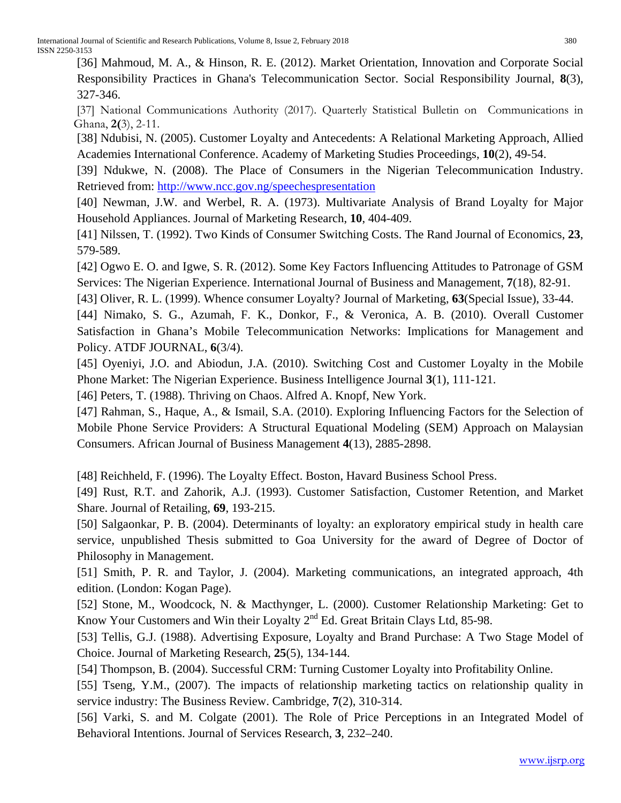[36] Mahmoud, M. A., & Hinson, R. E. (2012). Market Orientation, Innovation and Corporate Social Responsibility Practices in Ghana's Telecommunication Sector. Social Responsibility Journal, **8**(3), 327-346.

[37] National Communications Authority (2017). Quarterly Statistical Bulletin on Communications in Ghana, **2(**3), 2-11.

[38] Ndubisi, N. (2005). Customer Loyalty and Antecedents: A Relational Marketing Approach, Allied Academies International Conference. Academy of Marketing Studies Proceedings, **10**(2), 49-54.

[39] Ndukwe, N. (2008). The Place of Consumers in the Nigerian Telecommunication Industry. Retrieved from:<http://www.ncc.gov.ng/speechespresentation>

[40] Newman, J.W. and Werbel, R. A. (1973). Multivariate Analysis of Brand Loyalty for Major Household Appliances. Journal of Marketing Research, **10**, 404-409.

[41] Nilssen, T. (1992). Two Kinds of Consumer Switching Costs. The Rand Journal of Economics, **23**, 579-589.

[42] Ogwo E. O. and Igwe, S. R. (2012). Some Key Factors Influencing Attitudes to Patronage of GSM Services: The Nigerian Experience. International Journal of Business and Management, **7**(18), 82-91.

[43] Oliver, R. L. (1999). Whence consumer Loyalty? Journal of Marketing, **63**(Special Issue), 33-44.

[44] Nimako, S. G., Azumah, F. K., Donkor, F., & Veronica, A. B. (2010). Overall Customer Satisfaction in Ghana's Mobile Telecommunication Networks: Implications for Management and Policy. ATDF JOURNAL, **6**(3/4).

[45] Oyeniyi, J.O. and Abiodun, J.A. (2010). Switching Cost and Customer Loyalty in the Mobile Phone Market: The Nigerian Experience. Business Intelligence Journal **3**(1), 111-121.

[46] Peters, T. (1988). Thriving on Chaos. Alfred A. Knopf, New York.

[47] Rahman, S., Haque, A., & Ismail, S.A. (2010). Exploring Influencing Factors for the Selection of Mobile Phone Service Providers: A Structural Equational Modeling (SEM) Approach on Malaysian Consumers. African Journal of Business Management **4**(13), 2885-2898.

[48] Reichheld, F. (1996). The Loyalty Effect. Boston, Havard Business School Press.

[49] Rust, R.T. and Zahorik, A.J. (1993). Customer Satisfaction, Customer Retention, and Market Share. Journal of Retailing, **69**, 193-215.

[50] Salgaonkar, P. B. (2004). Determinants of loyalty: an exploratory empirical study in health care service, unpublished Thesis submitted to Goa University for the award of Degree of Doctor of Philosophy in Management.

[51] Smith, P. R. and Taylor, J. (2004). Marketing communications, an integrated approach, 4th edition. (London: Kogan Page).

[52] Stone, M., Woodcock, N. & Macthynger, L. (2000). Customer Relationship Marketing: Get to Know Your Customers and Win their Loyalty  $2<sup>nd</sup>$  Ed. Great Britain Clays Ltd, 85-98.

[53] Tellis, G.J. (1988). Advertising Exposure, Loyalty and Brand Purchase: A Two Stage Model of Choice. Journal of Marketing Research, **25**(5), 134-144.

[54] Thompson, B. (2004). Successful CRM: Turning Customer Loyalty into Profitability Online.

[55] Tseng, Y.M., (2007). The impacts of relationship marketing tactics on relationship quality in service industry: The Business Review. Cambridge, **7**(2), 310-314.

[56] Varki, S. and M. Colgate (2001). The Role of Price Perceptions in an Integrated Model of Behavioral Intentions. Journal of Services Research, **3**, 232–240.